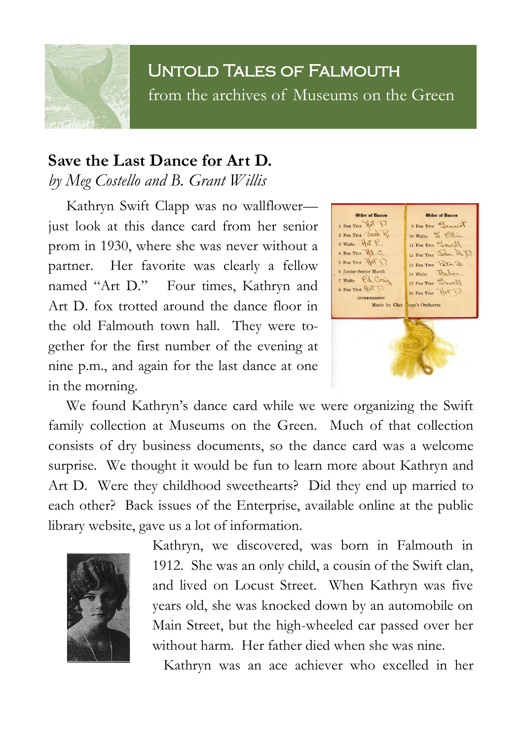## Untold Tales of Falmouth from the archives of Museums on the Green

## **Save the Last Dance for Art D.** *by Meg Costello and B. Grant Willis*

Kathryn Swift Clapp was no wallflower just look at this dance card from her senior prom in 1930, where she was never without a partner. Her favorite was clearly a fellow named "Art D." Four times, Kathryn and Art D. fox trotted around the dance floor in the old Falmouth town hall. They were together for the first number of the evening at nine p.m., and again for the last dance at one in the morning.



We found Kathryn's dance card while we were organizing the Swift family collection at Museums on the Green. Much of that collection consists of dry business documents, so the dance card was a welcome surprise. We thought it would be fun to learn more about Kathryn and Art D. Were they childhood sweethearts? Did they end up married to each other? Back issues of the Enterprise, available online at the public library website, gave us a lot of information.



Kathryn, we discovered, was born in Falmouth in 1912. She was an only child, a cousin of the Swift clan, and lived on Locust Street. When Kathryn was five years old, she was knocked down by an automobile on Main Street, but the high-wheeled car passed over her without harm. Her father died when she was nine.

Kathryn was an ace achiever who excelled in her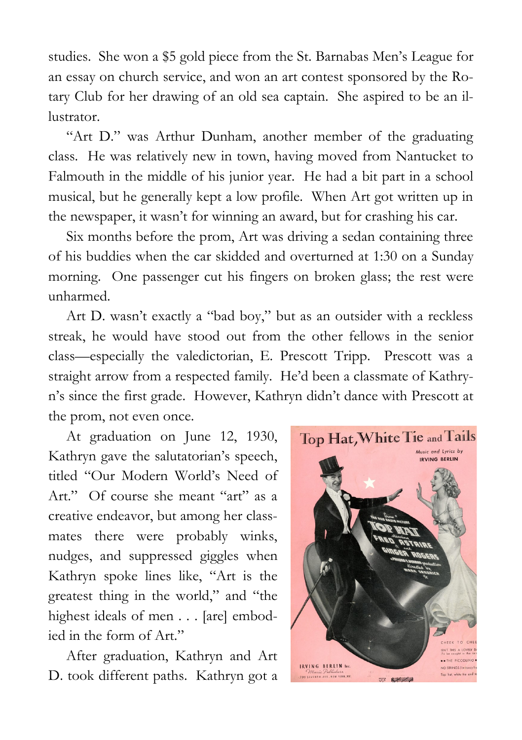studies. She won a \$5 gold piece from the St. Barnabas Men's League for an essay on church service, and won an art contest sponsored by the Rotary Club for her drawing of an old sea captain. She aspired to be an illustrator.

"Art D." was Arthur Dunham, another member of the graduating class. He was relatively new in town, having moved from Nantucket to Falmouth in the middle of his junior year. He had a bit part in a school musical, but he generally kept a low profile. When Art got written up in the newspaper, it wasn't for winning an award, but for crashing his car.

Six months before the prom, Art was driving a sedan containing three of his buddies when the car skidded and overturned at 1:30 on a Sunday morning. One passenger cut his fingers on broken glass; the rest were unharmed.

Art D. wasn't exactly a "bad boy," but as an outsider with a reckless streak, he would have stood out from the other fellows in the senior class—especially the valedictorian, E. Prescott Tripp. Prescott was a straight arrow from a respected family. He'd been a classmate of Kathryn's since the first grade. However, Kathryn didn't dance with Prescott at the prom, not even once.

At graduation on June 12, 1930, Kathryn gave the salutatorian's speech, titled "Our Modern World's Need of Art." Of course she meant "art" as a creative endeavor, but among her classmates there were probably winks, nudges, and suppressed giggles when Kathryn spoke lines like, "Art is the greatest thing in the world," and "the highest ideals of men . . . [are] embodied in the form of Art."

After graduation, Kathryn and Art D. took different paths. Kathryn got a